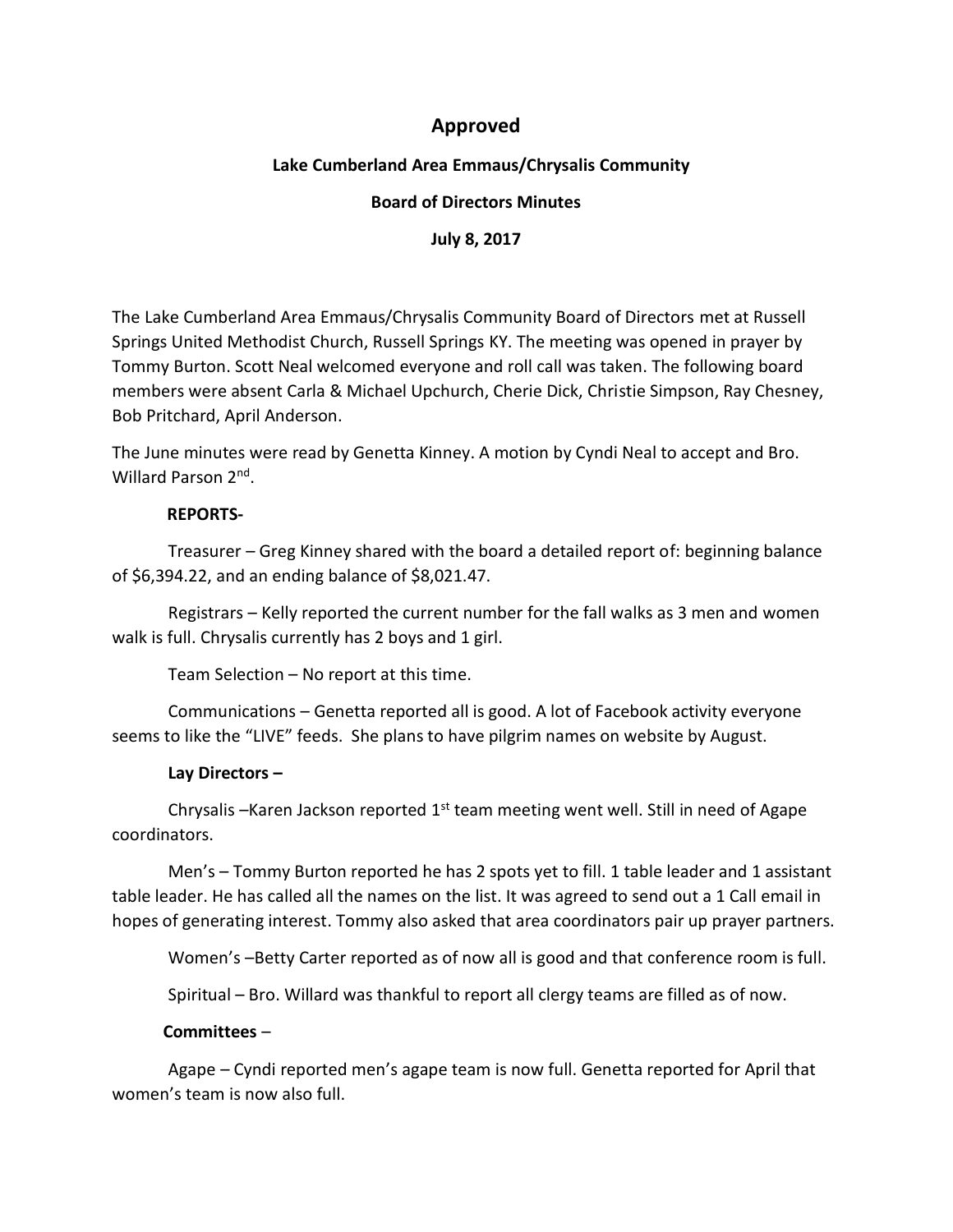# **Approved**

## **Lake Cumberland Area Emmaus/Chrysalis Community**

## **Board of Directors Minutes**

#### **July 8, 2017**

The Lake Cumberland Area Emmaus/Chrysalis Community Board of Directors met at Russell Springs United Methodist Church, Russell Springs KY. The meeting was opened in prayer by Tommy Burton. Scott Neal welcomed everyone and roll call was taken. The following board members were absent Carla & Michael Upchurch, Cherie Dick, Christie Simpson, Ray Chesney, Bob Pritchard, April Anderson.

The June minutes were read by Genetta Kinney. A motion by Cyndi Neal to accept and Bro. Willard Parson 2<sup>nd</sup>.

#### **REPORTS-**

Treasurer – Greg Kinney shared with the board a detailed report of: beginning balance of \$6,394.22, and an ending balance of \$8,021.47.

Registrars – Kelly reported the current number for the fall walks as 3 men and women walk is full. Chrysalis currently has 2 boys and 1 girl.

Team Selection – No report at this time.

Communications – Genetta reported all is good. A lot of Facebook activity everyone seems to like the "LIVE" feeds. She plans to have pilgrim names on website by August.

#### **Lay Directors –**

Chrysalis -Karen Jackson reported 1<sup>st</sup> team meeting went well. Still in need of Agape coordinators.

Men's – Tommy Burton reported he has 2 spots yet to fill. 1 table leader and 1 assistant table leader. He has called all the names on the list. It was agreed to send out a 1 Call email in hopes of generating interest. Tommy also asked that area coordinators pair up prayer partners.

Women's –Betty Carter reported as of now all is good and that conference room is full.

Spiritual – Bro. Willard was thankful to report all clergy teams are filled as of now.

# **Committees** –

Agape – Cyndi reported men's agape team is now full. Genetta reported for April that women's team is now also full.